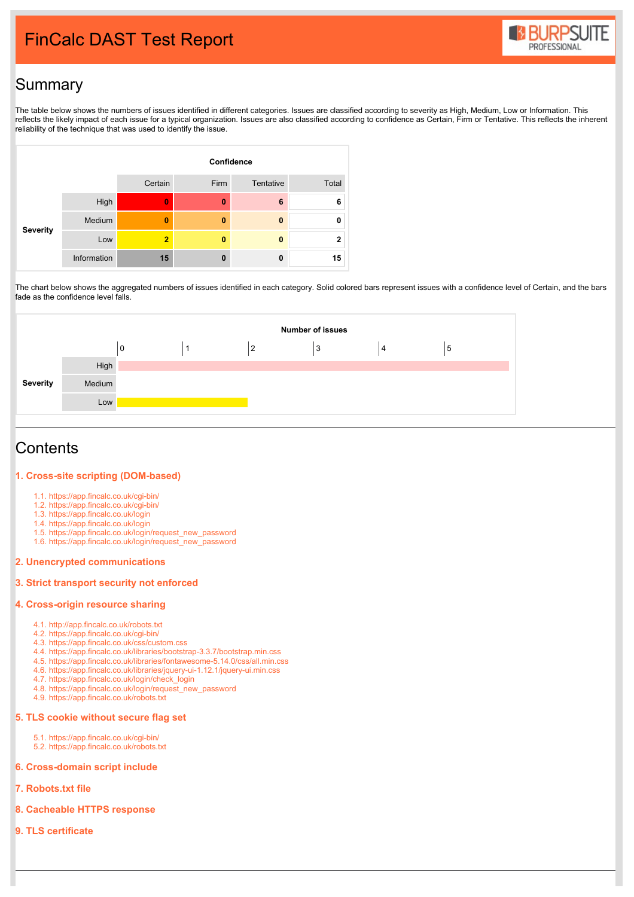# FinCalc DAST Test Report



# **Summary**

The table below shows the numbers of issues identified in different categories. Issues are classified according to severity as High, Medium, Low or Information. This reflects the likely impact of each issue for a typical organization. Issues are also classified according to confidence as Certain, Firm or Tentative. This reflects the inherent reliability of the technique that was used to identify the issue.



The chart below shows the aggregated numbers of issues identified in each category. Solid colored bars represent issues with a confidence level of Certain, and the bars fade as the confidence level falls.

|          |        |   |                | <b>Number of issues</b> |   |   |  |
|----------|--------|---|----------------|-------------------------|---|---|--|
|          |        | 0 | $\overline{2}$ | 3                       | 4 | 5 |  |
|          | High   |   |                |                         |   |   |  |
| Severity | Medium |   |                |                         |   |   |  |
|          | Low    |   |                |                         |   |   |  |
|          |        |   |                |                         |   |   |  |

## **Contents**

#### **1. Cross-site scripting [\(DOM-based\)](https://html2pdf.com/files/3d1vm5n2p1dcs109/file_fcqjj1fuo85519frli41qf141m/Unauthenticated.html#1)**

- 1.1. [https://app.fincalc.co.uk/cgi-bin/](https://html2pdf.com/files/3d1vm5n2p1dcs109/file_fcqjj1fuo85519frli41qf141m/Unauthenticated.html#1.1)
- 1.2. [https://app.fincalc.co.uk/cgi-bin/](https://html2pdf.com/files/3d1vm5n2p1dcs109/file_fcqjj1fuo85519frli41qf141m/Unauthenticated.html#1.2)
- 1.3. [https://app.fincalc.co.uk/login](https://html2pdf.com/files/3d1vm5n2p1dcs109/file_fcqjj1fuo85519frli41qf141m/Unauthenticated.html#1.3)
- 1.4. [https://app.fincalc.co.uk/login](https://html2pdf.com/files/3d1vm5n2p1dcs109/file_fcqjj1fuo85519frli41qf141m/Unauthenticated.html#1.4)
- 1.5. [https://app.fincalc.co.uk/login/request\\_new\\_password](https://html2pdf.com/files/3d1vm5n2p1dcs109/file_fcqjj1fuo85519frli41qf141m/Unauthenticated.html#1.5)
- 1.6. [https://app.fincalc.co.uk/login/request\\_new\\_password](https://html2pdf.com/files/3d1vm5n2p1dcs109/file_fcqjj1fuo85519frli41qf141m/Unauthenticated.html#1.6)

#### **2. Unencrypted [communications](https://html2pdf.com/files/3d1vm5n2p1dcs109/file_fcqjj1fuo85519frli41qf141m/Unauthenticated.html#2)**

#### **3. Strict [transport](https://html2pdf.com/files/3d1vm5n2p1dcs109/file_fcqjj1fuo85519frli41qf141m/Unauthenticated.html#3) security not enforced**

#### **4. [Cross-origin](https://html2pdf.com/files/3d1vm5n2p1dcs109/file_fcqjj1fuo85519frli41qf141m/Unauthenticated.html#4) resource sharing**

- 4.1. [http://app.fincalc.co.uk/robots.txt](https://html2pdf.com/files/3d1vm5n2p1dcs109/file_fcqjj1fuo85519frli41qf141m/Unauthenticated.html#4.1)
- 4.2. [https://app.fincalc.co.uk/cgi-bin/](https://html2pdf.com/files/3d1vm5n2p1dcs109/file_fcqjj1fuo85519frli41qf141m/Unauthenticated.html#4.2)
- 4.3. [https://app.fincalc.co.uk/css/custom.css](https://html2pdf.com/files/3d1vm5n2p1dcs109/file_fcqjj1fuo85519frli41qf141m/Unauthenticated.html#4.3)
- 4.4. [https://app.fincalc.co.uk/libraries/bootstrap-3.3.7/bootstrap.min.css](https://html2pdf.com/files/3d1vm5n2p1dcs109/file_fcqjj1fuo85519frli41qf141m/Unauthenticated.html#4.4)
- 4.5. [https://app.fincalc.co.uk/libraries/fontawesome-5.14.0/css/all.min.css](https://html2pdf.com/files/3d1vm5n2p1dcs109/file_fcqjj1fuo85519frli41qf141m/Unauthenticated.html#4.5)
- 4.6. [https://app.fincalc.co.uk/libraries/jquery-ui-1.12.1/jquery-ui.min.css](https://html2pdf.com/files/3d1vm5n2p1dcs109/file_fcqjj1fuo85519frli41qf141m/Unauthenticated.html#4.6)
- 4.7. [https://app.fincalc.co.uk/login/check\\_login](https://html2pdf.com/files/3d1vm5n2p1dcs109/file_fcqjj1fuo85519frli41qf141m/Unauthenticated.html#4.7) 4.8. [https://app.fincalc.co.uk/login/request\\_new\\_password](https://html2pdf.com/files/3d1vm5n2p1dcs109/file_fcqjj1fuo85519frli41qf141m/Unauthenticated.html#4.8)
- 4.9. [https://app.fincalc.co.uk/robots.txt](https://html2pdf.com/files/3d1vm5n2p1dcs109/file_fcqjj1fuo85519frli41qf141m/Unauthenticated.html#4.9)

#### **5. TLS cookie [without](https://html2pdf.com/files/3d1vm5n2p1dcs109/file_fcqjj1fuo85519frli41qf141m/Unauthenticated.html#5) secure flag set**

- 5.1. [https://app.fincalc.co.uk/cgi-bin/](https://html2pdf.com/files/3d1vm5n2p1dcs109/file_fcqjj1fuo85519frli41qf141m/Unauthenticated.html#5.1)
- 5.2. [https://app.fincalc.co.uk/robots.txt](https://html2pdf.com/files/3d1vm5n2p1dcs109/file_fcqjj1fuo85519frli41qf141m/Unauthenticated.html#5.2)

#### **6. [Cross-domain](https://html2pdf.com/files/3d1vm5n2p1dcs109/file_fcqjj1fuo85519frli41qf141m/Unauthenticated.html#6) script include**

- **7. [Robots.txt](https://html2pdf.com/files/3d1vm5n2p1dcs109/file_fcqjj1fuo85519frli41qf141m/Unauthenticated.html#7) file**
- **8. [Cacheable](https://html2pdf.com/files/3d1vm5n2p1dcs109/file_fcqjj1fuo85519frli41qf141m/Unauthenticated.html#8) HTTPS response**
- **9. TLS [certificate](https://html2pdf.com/files/3d1vm5n2p1dcs109/file_fcqjj1fuo85519frli41qf141m/Unauthenticated.html#9)**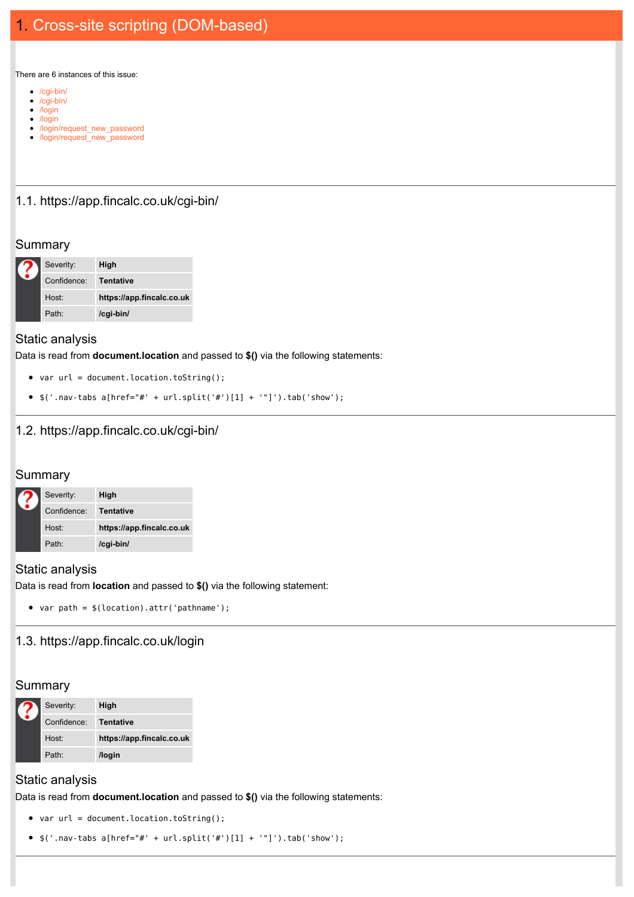There are 6 instances of this issue:

- [/cgi-bin/](https://html2pdf.com/files/3d1vm5n2p1dcs109/file_fcqjj1fuo85519frli41qf141m/Unauthenticated.html#1.1)
- [/cgi-bin/](https://html2pdf.com/files/3d1vm5n2p1dcs109/file_fcqjj1fuo85519frli41qf141m/Unauthenticated.html#1.2)
- [/login](https://html2pdf.com/files/3d1vm5n2p1dcs109/file_fcqjj1fuo85519frli41qf141m/Unauthenticated.html#1.3) • [/login](https://html2pdf.com/files/3d1vm5n2p1dcs109/file_fcqjj1fuo85519frli41qf141m/Unauthenticated.html#1.4)
- 
- [/login/request\\_new\\_password](https://html2pdf.com/files/3d1vm5n2p1dcs109/file_fcqjj1fuo85519frli41qf141m/Unauthenticated.html#1.5) • [/login/request\\_new\\_password](https://html2pdf.com/files/3d1vm5n2p1dcs109/file_fcqjj1fuo85519frli41qf141m/Unauthenticated.html#1.6)

#### 1.1. https://app.fincalc.co.uk/cgi-bin/

#### **Summary**

|  | Severity:         | High                      |  |
|--|-------------------|---------------------------|--|
|  | Confidence:       | Tentative                 |  |
|  | Host:             | https://app.fincalc.co.uk |  |
|  | Path <sup>.</sup> | /cgi-bin/                 |  |

#### Static analysis

Data is read from **document.location** and passed to **\$()** via the following statements:

- var url = document.location.toString();
- $$('.nav-tabs a[href="#' + url.split('#')[1] + '"]') .tab('show');$

### 1.2. https://app.fincalc.co.uk/cgi-bin/

#### **Summary**

|  | Severity:         | High                      |
|--|-------------------|---------------------------|
|  | Confidence:       | Tentative                 |
|  | Host <sup>.</sup> | https://app.fincalc.co.uk |
|  | Path <sup>.</sup> | /cgi-bin/                 |

#### Static analysis

Data is read from **location** and passed to **\$()** via the following statement:

```
var path = $(location).attr('pathname');
```
### 1.3. https://app.fincalc.co.uk/login

### **Summary**

|  | Severity:   | High                      |
|--|-------------|---------------------------|
|  | Confidence: | <b>Tentative</b>          |
|  | Host:       | https://app.fincalc.co.uk |
|  | Path:       | /login                    |

# Static analysis

Data is read from **document.location** and passed to **\$()** via the following statements:

- var url = document.location.toString();
- $\{('.nav-tabs a[href="#" + url.split('#')[1] + '"]'); tab('show');$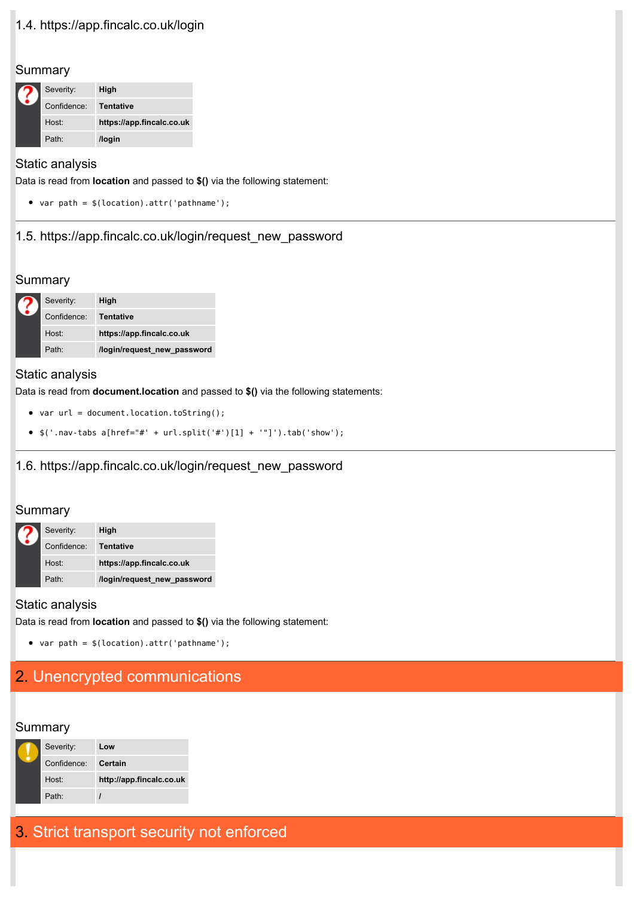# 1.4. https://app.fincalc.co.uk/login

#### **Summary**

|  | Severity:         | High                      |  |
|--|-------------------|---------------------------|--|
|  | Confidence:       | Tentative                 |  |
|  | Host:             | https://app.fincalc.co.uk |  |
|  | Path <sup>.</sup> | /login                    |  |

#### Static analysis

Data is read from **location** and passed to **\$()** via the following statement:

var path = \$(location).attr('pathname');

#### 1.5. https://app.fincalc.co.uk/login/request\_new\_password

#### **Summary**

| Severity:         | High                        |
|-------------------|-----------------------------|
| Confidence:       | Tentative                   |
| Host:             | https://app.fincalc.co.uk   |
| Path <sup>.</sup> | /login/request new password |

#### Static analysis

Data is read from **document.location** and passed to **\$()** via the following statements:

- var url = document.location.toString();
- $\frac{1}{2}$  ('.nav-tabs a[href="#' + url.split('#')[1] + '"]').tab('show');

### 1.6. https://app.fincalc.co.uk/login/request\_new\_password

#### **Summary**

|  | Severity:         | High                        |
|--|-------------------|-----------------------------|
|  | Confidence:       | Tentative                   |
|  | Host:             | https://app.fincalc.co.uk   |
|  | Path <sup>.</sup> | /login/request new password |

### Static analysis

Data is read from **location** and passed to **\$()** via the following statement:

• var path =  $$(location).attr('pathname');$ 

# 2. Unencrypted [communications](https://portswigger.net/knowledgebase/issues/details/01000200_unencryptedcommunications)

#### **Summary**

| Severity:         | Low                      |
|-------------------|--------------------------|
| Confidence:       | Certain                  |
| Host:             | http://app.fincalc.co.uk |
| Path <sup>.</sup> |                          |

# 3. Strict [transport](https://portswigger.net/knowledgebase/issues/details/01000300_stricttransportsecuritynotenforced) security not enforced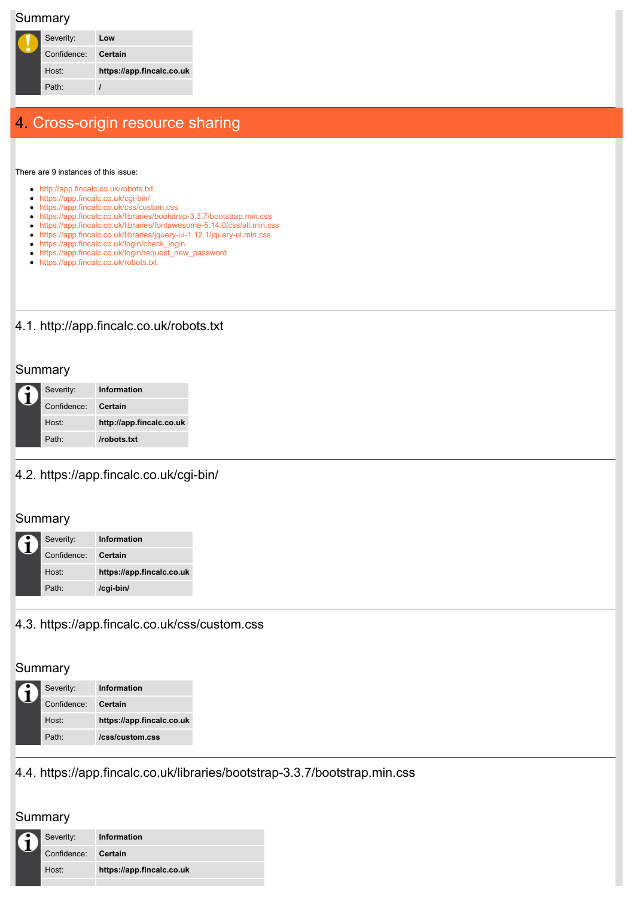#### **Summary**

|  | Severity:   | Low                       |
|--|-------------|---------------------------|
|  | Confidence: | Certain                   |
|  | Host:       | https://app.fincalc.co.uk |
|  | Path:       |                           |
|  |             |                           |

# 4. [Cross-origin](https://portswigger.net/knowledgebase/issues/details/00200600_crossoriginresourcesharing) resource sharing

There are 9 instances of this issue:

- [http://app.fincalc.co.uk/robots.txt](https://html2pdf.com/files/3d1vm5n2p1dcs109/file_fcqjj1fuo85519frli41qf141m/Unauthenticated.html#4.1)
- [https://app.fincalc.co.uk/cgi-bin/](https://html2pdf.com/files/3d1vm5n2p1dcs109/file_fcqjj1fuo85519frli41qf141m/Unauthenticated.html#4.2)
- [https://app.fincalc.co.uk/css/custom.css](https://html2pdf.com/files/3d1vm5n2p1dcs109/file_fcqjj1fuo85519frli41qf141m/Unauthenticated.html#4.3)
- [https://app.fincalc.co.uk/libraries/bootstrap-3.3.7/bootstrap.min.css](https://html2pdf.com/files/3d1vm5n2p1dcs109/file_fcqjj1fuo85519frli41qf141m/Unauthenticated.html#4.4)
- [https://app.fincalc.co.uk/libraries/fontawesome-5.14.0/css/all.min.css](https://html2pdf.com/files/3d1vm5n2p1dcs109/file_fcqjj1fuo85519frli41qf141m/Unauthenticated.html#4.5) [https://app.fincalc.co.uk/libraries/jquery-ui-1.12.1/jquery-ui.min.css](https://html2pdf.com/files/3d1vm5n2p1dcs109/file_fcqjj1fuo85519frli41qf141m/Unauthenticated.html#4.6)
- [https://app.fincalc.co.uk/login/check\\_login](https://html2pdf.com/files/3d1vm5n2p1dcs109/file_fcqjj1fuo85519frli41qf141m/Unauthenticated.html#4.7)
- [https://app.fincalc.co.uk/login/request\\_new\\_password](https://html2pdf.com/files/3d1vm5n2p1dcs109/file_fcqjj1fuo85519frli41qf141m/Unauthenticated.html#4.8)
- [https://app.fincalc.co.uk/robots.txt](https://html2pdf.com/files/3d1vm5n2p1dcs109/file_fcqjj1fuo85519frli41qf141m/Unauthenticated.html#4.9)

# 4.1. http://app.fincalc.co.uk/robots.txt

#### **Summary**

|  | Severity:         | Information              |  |
|--|-------------------|--------------------------|--|
|  | Confidence:       | <b>Certain</b>           |  |
|  | Host <sup>.</sup> | http://app.fincalc.co.uk |  |
|  | Path <sup>.</sup> | /robots.txt              |  |

### 4.2. https://app.fincalc.co.uk/cgi-bin/

#### **Summary**

| Severity:           | Information               |
|---------------------|---------------------------|
| Confidence: Certain |                           |
| Host:               | https://app.fincalc.co.uk |
| Path <sup>.</sup>   | /cgi-bin/                 |

### 4.3. https://app.fincalc.co.uk/css/custom.css

#### **Summary**

|  | Severity:         | Information               |  |
|--|-------------------|---------------------------|--|
|  | Confidence:       | Certain                   |  |
|  | Host <sup>.</sup> | https://app.fincalc.co.uk |  |
|  | Path <sup>.</sup> | /css/custom.css           |  |

# 4.4. https://app.fincalc.co.uk/libraries/bootstrap-3.3.7/bootstrap.min.css

# **Summary**

| Severity:           | Information               |
|---------------------|---------------------------|
| Confidence: Certain |                           |
| Host <sup>.</sup>   | https://app.fincalc.co.uk |
|                     |                           |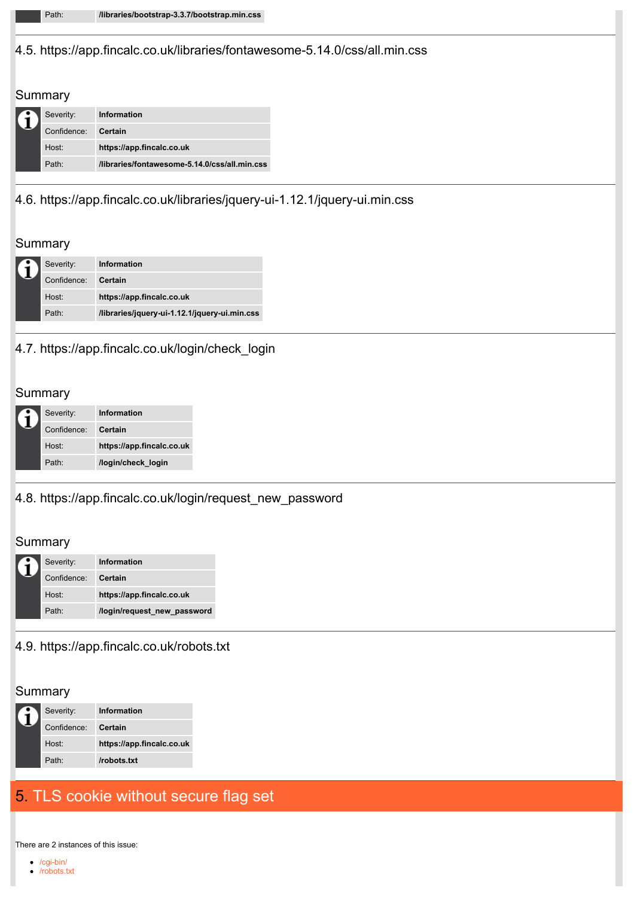#### 4.5. https://app.fincalc.co.uk/libraries/fontawesome-5.14.0/css/all.min.css

#### **Summary**

| Severity:         | Information                                   |
|-------------------|-----------------------------------------------|
| Confidence:       | <b>Certain</b>                                |
| Host:             | https://app.fincalc.co.uk                     |
| Path <sup>.</sup> | libraries/fontawesome-5.14.0/css/all.min.css/ |

## 4.6. https://app.fincalc.co.uk/libraries/jquery-ui-1.12.1/jquery-ui.min.css

#### **Summary**

| Severity:         | Information                                   |
|-------------------|-----------------------------------------------|
| Confidence:       | Certain                                       |
| Host:             | https://app.fincalc.co.uk                     |
| Path <sup>.</sup> | /libraries/jquery-ui-1.12.1/jquery-ui.min.css |

### 4.7. https://app.fincalc.co.uk/login/check\_login

## Summary

| Severity:         | Information               |
|-------------------|---------------------------|
| Confidence:       | Certain                   |
| Host <sup>.</sup> | https://app.fincalc.co.uk |
| Path <sup>.</sup> | /login/check login        |

## 4.8. https://app.fincalc.co.uk/login/request\_new\_password

### **Summary**

| Severity:         | Information                 |
|-------------------|-----------------------------|
| Confidence:       | Certain                     |
| Host:             | https://app.fincalc.co.uk   |
| Path <sup>.</sup> | /login/request new password |

#### 4.9. https://app.fincalc.co.uk/robots.txt

#### **Summary**

| Severity:           | Information               |
|---------------------|---------------------------|
| Confidence: Certain |                           |
| Host:               | https://app.fincalc.co.uk |
| Path <sup>.</sup>   | /robots.txt               |

# 5. TLS cookie [without](https://portswigger.net/knowledgebase/issues/details/00500200_tlscookiewithoutsecureflagset) secure flag set

There are 2 instances of this issue:

[/cgi-bin/](https://html2pdf.com/files/3d1vm5n2p1dcs109/file_fcqjj1fuo85519frli41qf141m/Unauthenticated.html#5.1) [/robots.txt](https://html2pdf.com/files/3d1vm5n2p1dcs109/file_fcqjj1fuo85519frli41qf141m/Unauthenticated.html#5.2)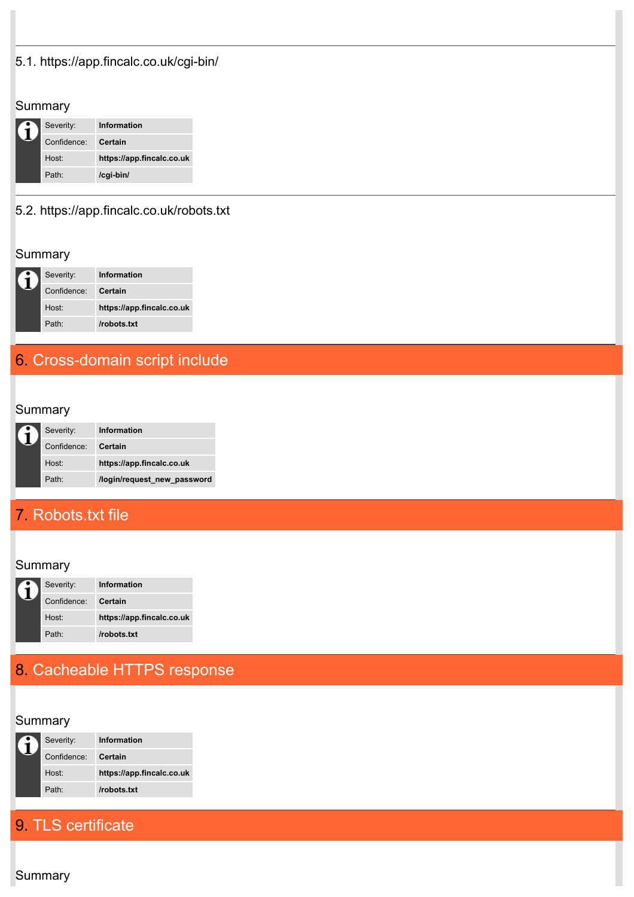# 5.1. https://app.fincalc.co.uk/cgi-bin/

## Summary

| Severity:         | Information               |
|-------------------|---------------------------|
| Confidence:       | Certain                   |
| Host <sup>.</sup> | https://app.fincalc.co.uk |
| Path <sup>.</sup> | /cgi-bin/                 |

# 5.2. https://app.fincalc.co.uk/robots.txt

# Summary

| Severity:         | Information               |
|-------------------|---------------------------|
| Confidence:       | Certain                   |
| Host <sup>.</sup> | https://app.fincalc.co.uk |
| Path <sup>.</sup> | /robots.txt               |

# 6. [Cross-domain](https://portswigger.net/knowledgebase/issues/details/00500500_crossdomainscriptinclude) script include

# **Summary**

| Severity:           | Information                 |
|---------------------|-----------------------------|
| Confidence: Certain |                             |
| Host:               | https://app.fincalc.co.uk   |
| Path <sup>.</sup>   | /login/request new password |

# 7. [Robots.txt](https://portswigger.net/knowledgebase/issues/details/00600600_robotsdottxtfile) file

# **Summary**

| Severity:         | Information               |
|-------------------|---------------------------|
| Confidence:       | Certain                   |
| Host:             | https://app.fincalc.co.uk |
| Path <sup>.</sup> | /robots.txt               |

# 8. [Cacheable](https://portswigger.net/knowledgebase/issues/details/00700100_cacheablehttpsresponse) HTTPS response

# **Summary**

| Severity:           | Information               |
|---------------------|---------------------------|
| Confidence: Certain |                           |
| Host <sup>.</sup>   | https://app.fincalc.co.uk |
| Path <sup>.</sup>   | /robots.txt               |

# 9. TLS [certificate](https://portswigger.net/knowledgebase/issues/details/01000100_tlscertificate)

**Summary**